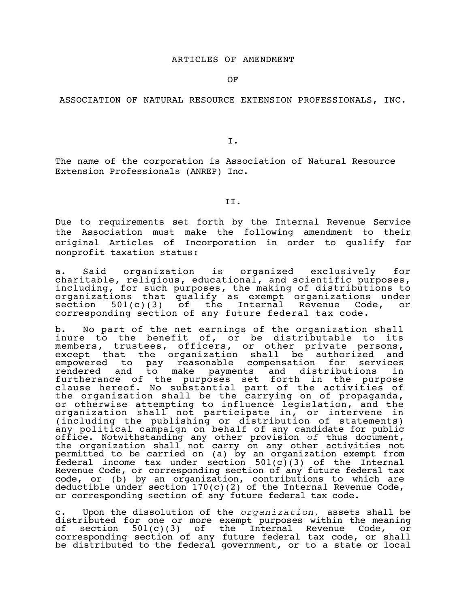OF

## ASSOCIATION OF NATURAL RESOURCE EXTENSION PROFESSIONALS, INC.

I.

The name of the corporation is Association of Natural Resource Extension Professionals (ANREP) Inc.

II.

Due to requirements set forth by the Internal Revenue Service the Association must make the following amendment to their original Articles of Incorporation in order to qualify for nonprofit taxation status:

a. Said organization is organized exclusively for charitable, religious, educational, and scientific purposes, including, for such purposes, the making of distributions to organizations that qualify as exempt organizations under section 501(c)(3) of the Internal Revenue Code, or corresponding section of any future federal tax code.

b. No part of the net earnings of the organization shall inure to the benefit of, or be distributable to its members, trustees, officers, or other private persons, except that the organization shall be authorized and empowered to pay reasonable compensation for services rendered and to make payments and distributions in furtherance of the purposes set forth in the purpose clause hereof. No substantial part of the activities of the organization shall be the carrying on of propaganda, or otherwise attempting to influence legislation, and the organization shall not participate in, or intervene in (including the publishing or distribution of statements) any political campaign on behalf of any candidate for public office. Notwithstanding any other provision *of* thus document, the organization shall not carry on any other activities not permitted to be carried on (a) by an organization exempt from  $f$ ederal income tax under section 501(c)(3) of the Internal Revenue Code, or corresponding section of any future federal tax code, or (b) by an organization, contributions to which are deductible under section  $170(c)(2)$  of the Internal Revenue Code, or corresponding section of any future federal tax code.

c. Upon the dissolution of the *organization,* assets shall be distributed for one or more exempt purposes within the meaning<br>of section 501(c)(3) of the Internal Revenue Code, or section  $501(c)(3)$  of the Internal Revenue Code, or corresponding section of any future federal tax code, or shall be distributed to the federal government, or to a state or local